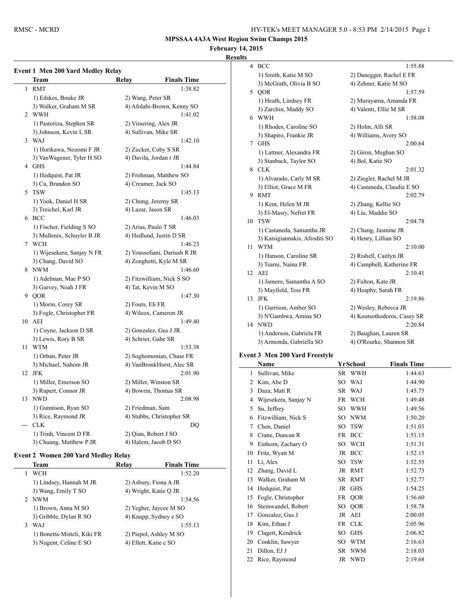# **February 14, 2015**

# **Results**

|                | Event 1 Men 200 Yard Medley Relay |                  |                              |
|----------------|-----------------------------------|------------------|------------------------------|
|                | Team                              | Relay            | <b>Finals Time</b>           |
| 1              | <b>RMT</b>                        |                  | 1:38.82                      |
|                | 1) Edskes, Bouke JR               |                  | 2) Wang, Peter SR            |
|                | 3) Walker, Graham M SR            |                  | 4) Afolabi-Brown, Kenny SO   |
| $\overline{2}$ | <b>WWH</b>                        |                  | 1:41.02                      |
|                | 1) Pastoriza, Stephen SR          |                  | 2) Vissering, Alex JR        |
|                | 3) Johnson, Kevin L SR            |                  | 4) Sullivan, Mike SR         |
| 3              | WAJ                               |                  | 1:42.10                      |
|                | 1) Horikawa, Nozomi F JR          |                  | 2) Zucker, Coby S SR         |
|                | 3) VanWagener, Tyler H SO         |                  | 4) Davila, Jordan r JR       |
|                | 4 GHS                             |                  | 1:44.84                      |
|                | 1) Hedquist, Pat JR               |                  | 2) Frohman, Matthew SO       |
|                | 3) Cu, Brandon SO                 |                  | 4) Creamer, Jack SO          |
| 5              | <b>TSW</b>                        |                  | 1:45.13                      |
|                | 1) Yook, Daniel H SR              |                  | 2) Chung, Jeremy SR          |
|                | 3) Treichel, Karl JR              |                  | 4) Lazar, Jason SR           |
| 6              | <b>BCC</b>                        |                  | 1:46.03                      |
|                | 1) Fischer, Fielding S SO         |                  | 2) Arias, Paulo T SR         |
|                | 3) Mullenix, Schuyler B JR        |                  | 4) Hedlund, Justin D SR      |
| 7              | <b>WCH</b>                        |                  | 1:46.23                      |
|                | 1) Wijesekera, Sanjay N FR        |                  | 2) Youssefiani, Dariush R JR |
|                | 3) Chang, David SO                |                  | 4) Zonghetti, Kyle M SR      |
|                | 8 NWM                             |                  | 1:46.60                      |
|                | 1) Adelman, Mac P SO              |                  | 2) Fitzwilliam, Nick S SO    |
|                | 3) Garvey, Noah J FR              |                  | 4) Tat, Kevin M SO           |
|                | 9 QOR                             |                  | 1:47.30                      |
|                | 1) Morin, Corey SR                | 2) Fouts, Eli FR |                              |
|                | 3) Fogle, Christopher FR          |                  | 4) Wilcox, Cameron JR        |
|                | 10 AEI                            |                  | 1:49.40                      |
|                | 1) Coyne, Jackson D SR            |                  | 2) Gonzalez, Gus J JR        |
|                | 3) Lewis, Rory B SR               |                  | 4) Schrier, Gabe SR          |
| 11             | <b>WTM</b>                        |                  | 1:53.38                      |
|                | 1) Orban, Peter JR                |                  | 2) Soghomonian, Chase FR     |
|                | 3) Michael, Nahom JR              |                  | 4) VanBronkHorst, Alec SR    |
| 12             | <b>JFK</b>                        |                  | 2:01.90                      |
|                | 1) Miller, Emerson SO             |                  | 2) Miller, Winston SR        |
|                | 3) Rupert, Connor JR              |                  | 4) Bowrin, Thomas SR         |
| 13             | <b>NWD</b>                        |                  | 2:08.98                      |
|                | 1) Gunnison, Ryan SO              |                  | 2) Friedman, Sam             |
|                | 3) Rice, Raymond JR               |                  | 4) Stubbs, Christopher SR    |
| ---            | <b>CLK</b>                        |                  | DQ                           |
|                | 1) Trinh, Vincent D FR            |                  | 2) Qian, Robert J SO         |
|                | 3) Chuang, Matthew P JR           |                  | 4) Halem, Jacob D SO         |

## **Event 2 Women 200 Yard Medley Relay**

|   | Team                        | Relav | <b>Finals Time</b>     |
|---|-----------------------------|-------|------------------------|
|   | <b>WCH</b>                  |       | 1:52.20                |
|   | 1) Lindsey, Hannah M JR     |       | 2) Asbury, Fiona A JR  |
|   | 3) Wang, Emily T SO         |       | 4) Wright, Katie Q JR  |
|   | 2 NWM                       |       | 1:54.56                |
|   | 1) Brown, Anna M SO         |       | 2) Yegher, Jaycee M SO |
|   | 3) Gribble, Dylan R SO      |       | 4) Knapp, Sydney e SO  |
| 3 | WAJ                         |       | 1:55.13                |
|   | 1) Bonetta-Misteli, Kiki FR |       | 2) Piepol, Ashley M SO |
|   | 3) Nugent, Celine E SO      |       | 4) Ellett, Katie c SO  |
|   |                             |       |                        |

| 4  | <b>BCC</b>                     | 1:55.88                     |
|----|--------------------------------|-----------------------------|
|    | 1) Smith, Katie M SO           | 2) Danegger, Rachel E FR    |
|    | 3) McGrath, Olivia B SO        | 4) Zehner, Katie M SO       |
| 5  | QOR                            | 1:57.59                     |
|    | 1) Heath, Lindsey FR           | 2) Murayama, Amanda FR      |
|    | 3) Zarchin, Maddy SO           | 4) Valenti, Ellie M SR      |
| 6  | <b>WWH</b>                     | 1:58.08                     |
|    | 1) Rhodes, Caroline SO         | 2) Holm, Alli SR            |
|    | 3) Shapiro, Frankie JR         | 4) Williams, Avery SO       |
| 7  | <b>GHS</b>                     | 2:00.64                     |
|    | 1) Lattner, Alexandra FR       | 2) Giron, Meghan SO         |
|    | 3) Stanback, Taylor SO         | 4) Bol, Katie SO            |
| 8  | <b>CLK</b>                     | 2:01.32                     |
|    | 1) Alvarado, Carly M SR        | 2) Ziegler, Rachel M JR     |
|    | 3) Elliot, Grace M FR          | 4) Castaneda, Claudia E SO  |
| 9  | <b>RMT</b>                     | 2:02.79                     |
|    | 1) Kent, Helen M JR            | 2) Zhang, Kellie SO         |
|    | 3) El-Masry, Nefret FR         | 4) Liu, Maddie SO           |
| 10 | <b>TSW</b>                     | 2:04.78                     |
|    | 1) Castaneda, Samantha JR      | 2) Chang, Jasmine JR        |
|    | 3) Katsigiannakis, Afroditi SO | 4) Henry, Lillian SO        |
| 11 | <b>WTM</b>                     | 2:10.00                     |
|    | 1) Hanson, Caroline SR         | 2) Rishell, Caitlyn JR      |
|    | 3) Tsarni, Naina FR            | 4) Campbell, Katherine FR   |
| 12 | AEI                            | 2:10.41                     |
|    | 1) Jamero, Samantha A SO       | 2) Fulton, Kate JR          |
|    | 3) Mayfield, Tess FR           | 4) Heaphy, Sarah FR         |
| 13 | <b>JFK</b>                     | 2:19.86                     |
|    | 1) Garrison, Amber SO          | 2) Wesley, Rebecca JR       |
|    | 3) N'Gambwa, Amina SO          | 4) Koutsothodoros, Casey SR |
| 14 | <b>NWD</b>                     | 2:20.84                     |
|    | 1) Anderson, Gabriela FR       | 2) Baughan, Lauren SR       |
|    | 3) Armonda, Gabriella SO       | 4) O'Rourke, Shannon SR     |

## **Event 3 Men 200 Yard Freestyle**

|    | Name                 |           | YrSchool   | <b>Finals Time</b> |
|----|----------------------|-----------|------------|--------------------|
| 1  | Sullivan, Mike       |           | SR WWH     | 1:44.63            |
| 2  | Kim, Abe D           | SO        | <b>WAJ</b> | 1:44.90            |
| 3  | Daza, Matt R         | SR.       | <b>WAJ</b> | 1:45.75            |
| 4  | Wijesekera, Sanjay N | FR        | <b>WCH</b> | 1:49.48            |
| 5  | Su, Jeffrey          | SO        | <b>WWH</b> | 1:49.56            |
| 6  | Fitzwilliam, Nick S  | SO        | <b>NWM</b> | 1:50.20            |
| 7  | Chen, Daniel         | SO        | <b>TSW</b> | 1:51.03            |
| 8  | Crane, Duncan R      | <b>FR</b> | <b>BCC</b> | 1:51.15            |
| 9  | Einhorn, Zachary O   | SO        | <b>WCH</b> | 1:51.31            |
| 10 | Fritz, Wyatt M       | JR        | <b>BCC</b> | 1:52.15            |
| 11 | Li, Alex             | SO        | <b>TSW</b> | 1:52.55            |
| 12 | Zhang, David L       | JR        | <b>RMT</b> | 1:52.73            |
| 13 | Walker, Graham M     | SR.       | <b>RMT</b> | 1:52.77            |
| 14 | Hedquist, Pat        |           | JR GHS     | 1:54.25            |
| 15 | Fogle, Christopher   | FR        | QOR        | 1:56.60            |
| 16 | Steinwandel, Robert  | SО        | QOR        | 1:58.78            |
| 17 | Gonzalez, Gus J      | JR        | AEI        | 2:00.05            |
| 18 | Kim, Ethan J         |           | FR CLK     | 2:05.96            |
| 19 | Clagett, Kendrick    | <b>SO</b> | <b>GHS</b> | 2:06.82            |
| 20 | Conklin, Sawyer      | SO        | <b>WTM</b> | 2:16.63            |
| 21 | Dillon, EJ J         | SR.       | <b>NWM</b> | 2:18.03            |
| 22 | Rice, Raymond        |           | JR NWD     | 2:19.68            |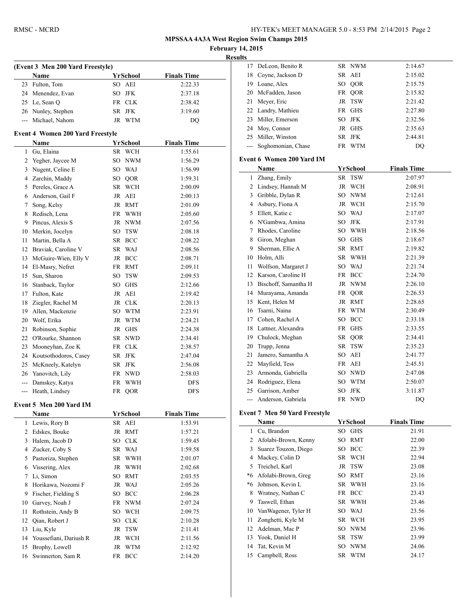|    | RMSC - MCRD                              |                    |                               |                                   | HY-TEK's MEET MANAGER 5.0 - 8:53 PM 2/14/2015 Page 2 |                               |                    |
|----|------------------------------------------|--------------------|-------------------------------|-----------------------------------|------------------------------------------------------|-------------------------------|--------------------|
|    |                                          |                    |                               | <b>February 14, 2015</b>          | <b>MPSSAA 4A3A West Region Swim Champs 2015</b>      |                               |                    |
|    |                                          |                    |                               | <b>Results</b>                    | 17 DeLeon, Benito R                                  | SR NWM                        | 2:14.67            |
|    | (Event 3 Men 200 Yard Freestyle)         | <b>YrSchool</b>    |                               | 18                                | Coyne, Jackson D                                     | SR AEI                        | 2:15.02            |
|    | Name<br>23 Fulton, Tom                   | SO AEI             | <b>Finals Time</b><br>2:22.33 | 19                                | Loane, Alex                                          | QOR<br>SO                     | 2:15.75            |
|    |                                          | SO JFK             |                               | 20                                | McFadden, Jason                                      | QOR<br>FR                     | 2:15.82            |
|    | 24 Menendez, Evan                        | FR CLK             | 2:37.18                       | 21                                | Meyer, Eric                                          | JR TSW                        | 2:21.42            |
|    | 25 Le, Sean Q                            | SR JFK             | 2:38.42<br>3:19.60            | 22                                | Landry, Mathieu                                      | FR GHS                        | 2:27.80            |
|    | 26 Nunley, Stephen<br>--- Michael, Nahom | JR WTM             |                               | 23                                | Miller, Emerson                                      | <b>JFK</b><br>SO              | 2:32.56            |
|    |                                          |                    | DQ                            | 24                                | Moy, Connor                                          | JR GHS                        | 2:35.63            |
|    | <b>Event 4 Women 200 Yard Freestyle</b>  |                    |                               | 25                                | Miller, Winston                                      | SR JFK                        | 2:44.81            |
|    | Name                                     | <b>YrSchool</b>    | <b>Finals Time</b>            | $---$                             | Soghomonian, Chase                                   | FR WTM                        | DQ                 |
|    | 1 Gu, Elaina                             | SR WCH             | 1:55.61                       |                                   |                                                      |                               |                    |
|    | 2 Yegher, Jaycee M                       | SO NWM             | 1:56.29                       |                                   | <b>Event 6 Women 200 Yard IM</b>                     |                               |                    |
|    | 3 Nugent, Celine E                       | SO WAJ             | 1:56.99                       |                                   | Name                                                 | <b>YrSchool</b>               | <b>Finals Time</b> |
|    | 4 Zarchin, Maddy                         | QOR<br>SO          | 1:59.31                       |                                   | 1 Zhang, Emily                                       | SR TSW                        | 2:07.97            |
| 5  | Pereles, Grace A                         | SR WCH             | 2:00.09                       |                                   | 2 Lindsey, Hannah M                                  | JR WCH                        | 2:08.91            |
|    | 6 Anderson, Gail F                       | JR AEI             | 2:00.13                       | 3                                 | Gribble, Dylan R                                     | <b>NWM</b><br>SO              | 2:12.61            |
| 7  | Song, Kelsy                              | JR RMT             | 2:01.09                       | 4                                 | Asbury, Fiona A                                      | <b>WCH</b><br>JR              | 2:15.70            |
| 8  | Redisch, Lena                            | FR WWH             | 2:05.60                       | 5                                 | Ellett, Katie c                                      | WAJ<br>SO                     | 2:17.07            |
| 9  | Pincus, Alexis S                         | JR NWM             | 2:07.56                       | 6                                 | N'Gambwa, Amina                                      | <b>JFK</b><br>SO              | 2:17.91            |
| 10 | Merkin, Jocelyn                          | SO TSW             | 2:08.18                       | 7                                 | Rhodes, Caroline                                     | <b>WWH</b><br>SO              | 2:18.56            |
| 11 | Martin, Bella A                          | SR BCC             | 2:08.22                       | 8                                 | Giron, Meghan                                        | <b>GHS</b><br>SO              | 2:18.67            |
|    | 12 Braviak, Caroline V                   | SR WAJ             | 2:08.56                       | 9                                 | Sherman, Ellie A                                     | SR RMT                        | 2:19.82            |
|    | 13 McGuire-Wien, Elly V                  | JR BCC             | 2:08.71                       | 10                                | Holm, Alli                                           | <b>WWH</b><br>SR              | 2:21.39            |
|    | 14 El-Masry, Nefret                      | FR RMT             | 2:09.11                       | 11                                | Wolfson, Margaret J                                  | WAJ<br>SO                     | 2:21.74            |
|    | 15 Sun, Sharon                           | SO TSW             | 2:09.53                       | 12                                | Karson, Caroline H                                   | FR<br><b>BCC</b>              | 2:24.70            |
|    | 16 Stanback, Taylor                      | SO GHS             | 2:12.66                       | 13                                | Bischoff, Samantha H                                 | <b>NWM</b><br>JR              | 2:26.10            |
|    | 17 Fulton, Kate                          | JR AEI             | 2:19.42                       | 14                                | Murayama, Amanda                                     | FR<br>QOR                     | 2:26.53            |
|    | 18 Ziegler, Rachel M                     | JR CLK             | 2:20.13                       | 15                                | Kent, Helen M                                        | JR RMT                        | 2:28.65            |
|    | 19 Allen, Mackenzie                      | <b>WTM</b><br>SO - | 2:23.91                       | 16                                | Tsarni, Naina                                        | <b>WTM</b><br>FR              | 2:30.49            |
| 20 | Wolf, Erika                              | JR WTM             | 2:24.21                       | 17                                | Cohen, Rachel A                                      | <b>BCC</b><br>SO              | 2:33.18            |
| 21 | Robinson, Sophie                         | JR GHS             | 2:24.38                       | 18                                | Lattner, Alexandra                                   | FR GHS                        | 2:33.55            |
| 22 | O'Rourke, Shannon                        | SR NWD             | 2:34.41                       | 19                                | Chulock, Meghan                                      | SR<br>QOR                     | 2:34.41            |
|    | 23 Mooneyhan, Zoe K                      | FR CLK             | 2:38.57                       | 20                                | Trupp, Jenna                                         | SR TSW                        | 2:35.23            |
|    | 24 Koutsothodoros, Casey                 | SR JFK             | 2:47.04                       | 21                                | Jamero, Samantha A                                   | AEI<br>SO                     | 2:41.77            |
|    | 25 McKneely, Katelyn                     | SR JFK             | 2:56.08                       | 22                                | Mayfield, Tess                                       | FR AEI                        | 2:45.51            |
|    | 26 Yanovitch, Lily                       | FR NWD             | 2:58.03                       |                                   | 23 Armonda, Gabriella                                | SO NWD                        | 2:47.08            |
|    | --- Damskey, Katya                       | FR WWH             | <b>DFS</b>                    | 24                                | Rodriguez, Elena                                     | <b>WTM</b><br>SO <sub>1</sub> | 2:50.07            |
|    | --- Heath, Lindsey                       | FR QOR             | <b>DFS</b>                    | 25                                | Garrison, Amber                                      | <b>JFK</b><br>SO              | 3:11.87            |
|    |                                          |                    |                               | $\hspace{0.05cm} \dashrightarrow$ | Anderson, Gabriela                                   | FR NWD                        | DQ                 |
|    | Event 5 Men 200 Yard IM                  |                    |                               |                                   |                                                      |                               |                    |
|    | Name                                     | <b>YrSchool</b>    | <b>Finals Time</b>            |                                   | <b>Event 7 Men 50 Yard Freestyle</b>                 |                               |                    |
|    | 1 Lewis, Rory B                          | SR AEI             | 1:53.91                       |                                   | Name                                                 | <b>YrSchool</b>               | <b>Finals Time</b> |
|    | 2 Edskes, Bouke                          | JR RMT             | 1:57.21                       | 1                                 | Cu, Brandon                                          | SO GHS                        | 21.91              |
|    | 3 Halem, Jacob D                         | SO CLK             | 1:59.45                       | 2                                 | Afolabi-Brown, Kenny                                 | SO RMT                        | 22.00              |
|    | 4 Zucker, Coby S                         | SR WAJ             | 1:59.58                       | 3                                 | Suarez Touzon, Diego                                 | SO BCC                        | 22.39              |
|    | 5 Pastoriza, Stephen                     | SR WWH             | 2:01.07                       | 4                                 | Mackey, Colin D                                      | SR WCH                        | 22.94              |
| 6  | Vissering, Alex                          | JR WWH             | 2:02.68                       | 5                                 | Treichel, Karl                                       | JR TSW                        | 23.08              |
|    | 7 Li, Simon                              | SO RMT             | 2:03.55                       | *6                                | Afolabi-Brown, Greg                                  | SO RMT                        | 23.16              |
|    | 8 Horikawa, Nozomi F                     | JR WAJ             | 2:05.26                       | *6                                | Johnson, Kevin L                                     | SR WWH                        | 23.16              |
|    | 9 Fischer, Fielding S                    | SO BCC             | 2:06.28                       | 8                                 | Wratney, Nathan C                                    | FR BCC                        | 23.43              |
|    | 10 Garvey, Noah J                        | FR NWM             | 2:07.24                       | 9                                 | Taswell, Ethan                                       | SR WWH                        | 23.46              |
|    | 11 Rothstein, Andy B                     | SO WCH             | 2:09.75                       | 10                                | VanWagener, Tyler H                                  | WAJ<br>SO                     | 23.56              |
|    | 12 Qian, Robert J                        | SO CLK             | 2:10.28                       | 11                                | Zonghetti, Kyle M                                    | SR WCH                        | 23.95              |
|    | 13 Liu, Kyle                             | JR TSW             | 2:11.41                       | 12                                | Adelman, Mac P                                       | SO NWM                        | 23.96              |
|    | 14 Youssefiani, Dariush R                | JR WCH             | 2:11.56                       |                                   | 13 Yook, Daniel H                                    | SR TSW                        | 23.99              |

 Brophy, Lowell JR WTM 2:12.92 16 Swinnerton, Sam R FR BCC 2:14.20

|                | 18 Coyne, Jackson D                  |                 | SR AEI          | 2:15.02            |
|----------------|--------------------------------------|-----------------|-----------------|--------------------|
| 19             | Loane, Alex                          |                 | SO QOR          | 2:15.75            |
| 20             | McFadden, Jason                      |                 | FR QOR          | 2:15.82            |
| 21             | Meyer, Eric                          |                 | JR TSW          | 2:21.42            |
| 22             | Landry, Mathieu                      |                 | FR GHS          | 2:27.80            |
| 23             | Miller, Emerson                      |                 | SO JFK          | 2:32.56            |
| 24             | Moy, Connor                          |                 | JR GHS          | 2:35.63            |
|                | 25 Miller, Winston                   |                 | SR JFK          | 2:44.81            |
| $\sim$ $\sim$  | Soghomonian, Chase                   |                 | FR WTM          | DQ                 |
|                |                                      |                 |                 |                    |
|                | Event 6  Women 200 Yard IM           |                 |                 |                    |
|                | Name                                 |                 | YrSchool        | <b>Finals Time</b> |
| 1              | Zhang, Emily                         | SR              | <b>TSW</b>      | 2:07.97            |
| 2              | Lindsey, Hannah M                    | JR              | WCH             | 2:08.91            |
| 3              | Gribble, Dylan R                     |                 | SO NWM          | 2:12.61            |
| 4              | Asbury, Fiona A                      |                 | JR WCH          | 2:15.70            |
| 5              | Ellett, Katie c                      |                 | SO WAJ          | 2:17.07            |
|                | 6 N'Gambwa, Amina                    |                 | SO JFK          | 2:17.91            |
| 7              | Rhodes, Caroline                     |                 | SO WWH          | 2:18.56            |
| 8              | Giron, Meghan                        |                 | SO GHS          | 2:18.67            |
| 9              | Sherman, Ellie A                     |                 | SR RMT          | 2:19.82            |
| 10             | Holm, Alli                           |                 | SR WWH          | 2:21.39            |
| 11             | Wolfson, Margaret J                  |                 | SO WAJ          | 2:21.74            |
| 12             | Karson, Caroline H                   |                 | FR BCC          | 2:24.70            |
| 13             | Bischoff, Samantha H                 |                 | JR NWM          | 2:26.10            |
| 14             | Murayama, Amanda                     |                 | FR QOR          | 2:26.53            |
| 15             | Kent, Helen M                        |                 | JR RMT          | 2:28.65            |
| 16             | Tsarni, Naina                        |                 | FR WTM          | 2:30.49            |
| 17             | Cohen, Rachel A                      |                 | SO BCC          | 2:33.18            |
| 18             | Lattner, Alexandra                   |                 | FR GHS          | 2:33.55            |
|                | 19 Chulock, Meghan                   |                 | SR QOR          | 2:34.41            |
| 20             | Trupp, Jenna                         |                 | SR TSW          | 2:35.23            |
| 21             | Jamero, Samantha A                   |                 | SO AEI          | 2:41.77            |
| 22             | Mayfield, Tess                       |                 | FR AEI          | 2:45.51            |
| 23             | Armonda, Gabriella                   |                 | SO NWD          | 2:47.08            |
| 24             | Rodriguez, Elena                     |                 | SO WTM          | 2:50.07            |
| 25             | Garrison, Amber                      |                 | SO JFK          | 3:11.87            |
|                | --- Anderson, Gabriela               |                 | FR NWD          | DQ                 |
|                |                                      |                 |                 |                    |
|                | <b>Event 7 Men 50 Yard Freestyle</b> |                 |                 |                    |
|                | Name                                 |                 | <b>YrSchool</b> | <b>Finals Time</b> |
| 1              | Cu, Brandon                          |                 | SO GHS          | 21.91              |
| $\overline{c}$ | Afolabi-Brown, Kenny                 | SO              | <b>RMT</b>      | 22.00              |
| 3              | Suarez Touzon, Diego                 | SO              | <b>BCC</b>      | 22.39              |
| $\overline{4}$ | Mackey, Colin D                      | SR              | WCH             | 22.94              |
| 5              | Treichel, Karl                       | JR              | TSW             | 23.08              |
| *6             | Afolabi-Brown, Greg                  | SO <sub>1</sub> | <b>RMT</b>      | 23.16              |
| *6             | Johnson, Kevin L                     | SR              | <b>WWH</b>      | 23.16              |
| 8              | Wratney, Nathan C                    | FR              | <b>BCC</b>      | 23.43              |
| 9              | Taswell, Ethan                       | <b>SR</b>       | <b>WWH</b>      | 23.46              |
| 10             | VanWagener, Tyler H                  | SO <sub>1</sub> | WAJ             | 23.56              |
| 11             | Zonghetti, Kyle M                    | SR              | WCH             | 23.95              |
| 12             | Adelman, Mac P                       | SO              | <b>NWM</b>      | 23.96              |
| 13             | Yook, Daniel H                       | SR              | <b>TSW</b>      | 23.99              |
| 14             | Tat, Kevin M                         | SO              | <b>NWM</b>      | 24.06              |
| 15             | Campbell, Ross                       | SR              | WTM             | 24.17              |
|                |                                      |                 |                 |                    |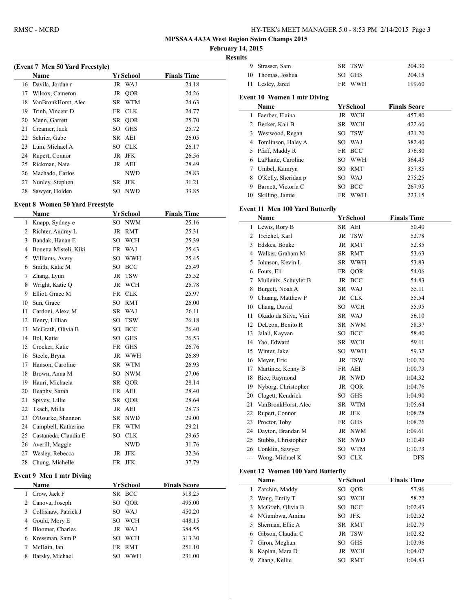**February 14, 2015**

|    | (Event 7 Men 50 Yard Freestyle)         |                  |                     |  |
|----|-----------------------------------------|------------------|---------------------|--|
|    | <b>Name</b>                             | YrSchool         | <b>Finals Time</b>  |  |
|    | 16 Davila, Jordan r                     | JR WAJ           | 24.18               |  |
|    | 17 Wilcox, Cameron                      | JR QOR           | 24.26               |  |
|    | 18 VanBronkHorst, Alec                  | SR WTM           | 24.63               |  |
|    | 19 Trinh, Vincent D                     | FR CLK           | 24.77               |  |
|    | 20 Mann, Garrett                        | SR QOR           | 25.70               |  |
|    | 21 Creamer, Jack                        | SO GHS           | 25.72               |  |
|    | 22 Schrier, Gabe                        | SR AEI           | 26.05               |  |
|    | 23 Lum, Michael A                       | SO CLK           | 26.17               |  |
|    | 24 Rupert, Connor                       | JR JFK           | 26.56               |  |
|    | 25 Rickman, Nate                        | JR AEI           | 28.49               |  |
|    | 26 Machado, Carlos                      | <b>NWD</b>       | 28.83               |  |
|    | 27 Nunley, Stephen                      | SR JFK           | 31.21               |  |
|    | 28 Sawyer, Holden                       | SO NWD           | 33.85               |  |
|    | <b>Event 8 Women 50 Yard Freestyle</b>  |                  |                     |  |
|    | Name                                    | YrSchool         | <b>Finals Time</b>  |  |
|    | 1 Knapp, Sydney e                       | SO NWM           | 25.16               |  |
|    | 2 Richter, Audrey L                     | JR RMT           | 25.31               |  |
|    | 3 Bandak, Hanan E                       | SO WCH           | 25.39               |  |
|    | 4 Bonetta-Misteli, Kiki                 | FR WAJ           | 25.43               |  |
|    | 5 Williams, Avery                       | SO WWH           | 25.45               |  |
|    | 6 Smith, Katie M                        | SO BCC           | 25.49               |  |
|    | 7 Zhang, Lynn                           | JR TSW           | 25.52               |  |
| 8  | Wright, Katie Q                         | JR WCH           | 25.78               |  |
| 9  | Elliot, Grace M                         | FR CLK           | 25.97               |  |
|    | 10 Sun, Grace                           | SO RMT           | 26.00               |  |
| 11 | Cardoni, Alexa M                        | SR WAJ           | 26.11               |  |
|    | 12 Henry, Lillian                       | <b>TSW</b><br>SO | 26.18               |  |
| 13 | McGrath, Olivia B                       | SO BCC           | 26.40               |  |
| 14 | Bol, Katie                              | SO<br><b>GHS</b> | 26.53               |  |
| 15 | Crocker, Katie                          | FR GHS           | 26.76               |  |
|    | 16 Steele, Bryna                        | JR WWH           | 26.89               |  |
|    | 17 Hanson, Caroline                     | SR WTM           | 26.93               |  |
| 18 | Brown, Anna M                           | SO NWM           | 27.06               |  |
| 19 | Hauri, Michaela                         | SR QOR           | 28.14               |  |
|    | 20 Heaphy, Sarah                        | FR AEI           | 28.40               |  |
| 21 | Spivey, Lillie                          | SR QOR           | 28.64               |  |
| 22 | Tkach, Milla                            | JR AEI           | 28.73               |  |
| 23 | O'Rourke, Shannon                       | SR NWD           | 29.00               |  |
|    | 24 Campbell, Katherine                  | FR WTM           | 29.21               |  |
|    | 25 Castaneda, Claudia E                 | SO CLK           | 29.65               |  |
|    | 26 Averill, Maggie                      | NWD              | 31.76               |  |
| 27 | Wesley, Rebecca                         | JR JFK           | 32.36               |  |
| 28 | Chung, Michelle                         | FR JFK           | 37.79               |  |
|    |                                         |                  |                     |  |
|    | <b>Event 9 Men 1 mtr Diving</b><br>Name | YrSchool         | <b>Finals Score</b> |  |
| 1  | Crow, Jack F                            | SR BCC           | 518.25              |  |
|    | 2 Canova, Joseph                        | SO QOR           | 495.00              |  |
|    | 3 Collishaw, Patrick J                  | SO WAJ           | 450.20              |  |
|    | 4 Gould, Mory E                         | <b>WCH</b><br>SO | 448.15              |  |
|    |                                         |                  |                     |  |
|    | 5 Bloomer, Charles                      | JR WAJ           | 384.55              |  |
|    | 6 Kressman, Sam P                       | SO WCH           | 313.30              |  |
| 7  | McBain, Ian                             | FR RMT           | 251.10              |  |
| 8  | Barsky, Michael                         | SO WWH           | 231.00              |  |

| 9              | Strasser, Sam                            | <b>SR</b> | <b>TSW</b> | 204.30              |
|----------------|------------------------------------------|-----------|------------|---------------------|
| 10             | Thomas, Joshua                           | SO        | <b>GHS</b> | 204.15              |
| 11             | Lesley, Jared                            |           | FR WWH     | 199.60              |
|                | <b>Event 10 Women 1 mtr Diving</b>       |           |            |                     |
|                | Name                                     |           | YrSchool   | <b>Finals Score</b> |
|                |                                          |           |            |                     |
| 1              | Faerber, Elaina                          |           | JR WCH     | 457.80              |
|                | 2 Becker, Kali B                         |           | SR WCH     | 422.60              |
|                | 3 Westwood, Regan                        | SO        | TSW        | 421.20              |
| 4              | Tomlinson, Haley A                       |           | SO WAJ     | 382.40              |
| 5              | Pfaff, Maddy R                           |           | FR BCC     | 376.80              |
|                | 6 LaPlante, Caroline                     |           | SO WWH     | 364.45              |
| 7              | Umbel, Kamryn                            |           | SO RMT     | 357.85              |
| 8              | O'Kelly, Sheridan p                      |           | SO WAJ     | 275.25              |
| 9              | Barnett, Victoria C                      | SO        | BCC        | 267.95              |
| 10             | Skilling, Jamie                          |           | FR WWH     | 223.15              |
|                | <b>Event 11 Men 100 Yard Butterfly</b>   |           |            |                     |
|                | Name                                     |           | YrSchool   | <b>Finals Time</b>  |
| 1              | Lewis, Rory B                            |           | SR AEI     | 50.40               |
| 2              | Treichel, Karl                           | JR        | <b>TSW</b> | 52.78               |
|                | 3 Edskes, Bouke                          |           | JR RMT     | 52.85               |
|                | 4 Walker, Graham M                       |           | SR RMT     | 53.63               |
| 5              | Johnson, Kevin L                         |           | SR WWH     | 53.83               |
|                | 6 Fouts, Eli                             |           | FR QOR     | 54.06               |
| 7              | Mullenix, Schuyler B                     |           | JR BCC     | 54.83               |
| 8              | Burgett, Noah A                          |           | SR WAJ     | 55.11               |
| 9              | Chuang, Matthew P                        |           | JR CLK     | 55.54               |
|                | 10 Chang, David                          |           | SO WCH     | 55.95               |
| 11             | Okado da Silva, Vini                     |           | SR WAJ     | 56.10               |
| 12             | DeLeon, Benito R                         |           | SR NWM     | 58.37               |
| 13             | Jalali, Kayvan                           |           | SO BCC     | 58.40               |
| 14             | Yao, Edward                              | SR        | <b>WCH</b> |                     |
| 15             | Winter, Jake                             |           | SO WWH     | 59.11<br>59.32      |
|                |                                          |           |            |                     |
| 16             | Meyer, Eric                              | JR        | <b>TSW</b> | 1:00.20             |
| 17             | Martinez, Kenny B                        | FR        | AEI        | 1:00.73             |
| 18             | Rice, Raymond                            |           | JR NWD     | 1:04.32             |
| 19             | Nyborg, Christopher                      |           | JR QOR     | 1:04.76             |
|                | 20 Clagett, Kendrick                     |           | SO GHS     | 1:04.90             |
|                | 21 VanBronkHorst, Alec                   |           | SR WTM     | 1:05.64             |
| 22             | Rupert, Connor                           |           | JR JFK     | 1:08.28             |
| 23             | Proctor, Toby                            | FR        | <b>GHS</b> | 1:08.76             |
| 24             | Dayton, Brandan M                        |           | JR NWM     | 1:09.61             |
| 25             | Stubbs, Christopher                      | SR        | <b>NWD</b> | 1:10.49             |
| 26             | Conklin, Sawyer                          | SO        | <b>WTM</b> | 1:10.73             |
| $\overline{a}$ | Wong, Michael K                          | SO        | <b>CLK</b> | DFS                 |
|                | <b>Event 12 Women 100 Yard Butterfly</b> |           |            |                     |
|                | Name                                     |           | YrSchool   | <b>Finals Time</b>  |
| 1              | Zarchin, Maddy                           | SO        | QOR        | 57.96               |
| 2              | Wang, Emily T                            | SO        | WCH        | 58.22               |
| 3              | McGrath, Olivia B                        | SO        | <b>BCC</b> | 1:02.43             |
| 4              | N'Gambwa, Amina                          | SO        | <b>JFK</b> | 1:02.52             |
| 5              | Sherman, Ellie A                         | SR        | <b>RMT</b> | 1:02.79             |
| 6              | Gibson, Claudia C                        | JR        | <b>TSW</b> | 1:02.82             |
| 7              | Giron, Meghan                            | SO        | <b>GHS</b> | 1:03.96             |
| 8              | Kaplan, Mara D                           | JR        | <b>WCH</b> | 1:04.07             |
| 9              | Zhang, Kellie                            | SO        | RMT        | 1:04.83             |
|                |                                          |           |            |                     |
|                |                                          |           |            |                     |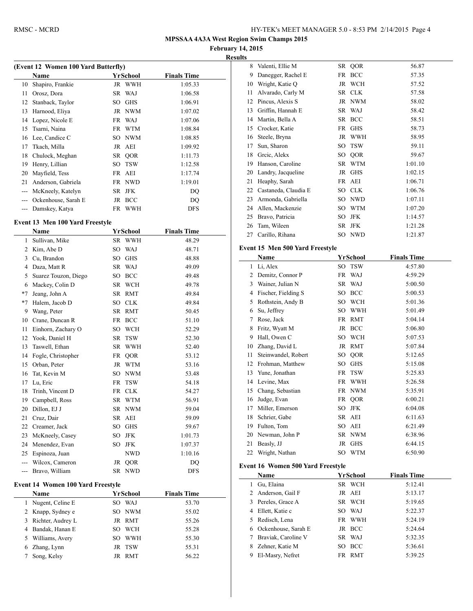**February 14, 2015**

 $\overline{\phantom{0}}$ 

 $\overline{\phantom{a}}$ 

|    | (Event 12 Women 100 Yard Butterfly) |     |            |                    |  |
|----|-------------------------------------|-----|------------|--------------------|--|
|    | <b>Name</b>                         |     | YrSchool   | <b>Finals Time</b> |  |
| 10 | Shapiro, Frankie                    |     | JR WWH     | 1:05.33            |  |
| 11 | Orosz, Dora                         |     | SR WAJ     | 1:06.58            |  |
| 12 | Stanback, Taylor                    | SO  | <b>GHS</b> | 1:06.91            |  |
| 13 | Harnood, Eliya                      |     | JR NWM     | 1:07.02            |  |
| 14 | Lopez, Nicole E                     |     | FR WAJ     | 1:07.06            |  |
| 15 | Tsarni, Naina                       | FR  | WTM        | 1:08.84            |  |
| 16 | Lee, Candice C                      |     | SO NWM     | 1:08.85            |  |
| 17 | Tkach, Milla                        | JR  | AEI        | 1:09.92            |  |
| 18 | Chulock, Meghan                     |     | SR QOR     | 1:11.73            |  |
| 19 | Henry, Lillian                      | SO. | <b>TSW</b> | 1:12.58            |  |
| 20 | Mayfield, Tess                      |     | FR AEI     | 1:17.74            |  |
| 21 | Anderson, Gabriela                  |     | FR NWD     | 1:19.01            |  |
|    | McKneely, Katelyn                   |     | SR JFK     | DQ                 |  |
|    | Ockenhouse, Sarah E                 | JR  | <b>BCC</b> | DO                 |  |
|    | Damskey, Katya                      | FR  | WWH        | <b>DFS</b>         |  |

# **Event 13 Men 100 Yard Freestyle**<br>Name **Washaal**

|                | Name                              |           | YrSchool        | <b>Finals Time</b> |
|----------------|-----------------------------------|-----------|-----------------|--------------------|
| 1              | Sullivan, Mike                    | SR        | <b>WWH</b>      | 48.29              |
| $\overline{c}$ | Kim, Abe D                        |           | SO WAJ          | 48.71              |
| $\overline{3}$ | Cu, Brandon                       |           | SO GHS          | 48.88              |
| 4              | Daza, Matt R                      |           | SR WAJ          | 49.09              |
| 5              | Suarez Touzon, Diego              |           | SO BCC          | 49.48              |
| 6              | Mackey, Colin D                   |           | SR WCH          | 49.78              |
| $*7$           | Jeang, John A                     |           | SR RMT          | 49.84              |
| $*7$           | Halem, Jacob D                    |           | SO CLK          | 49.84              |
| 9              | Wang, Peter                       |           | SR RMT          | 50.45              |
| 10             | Crane, Duncan R                   |           | FR BCC          | 51.10              |
| 11             | Einhorn, Zachary O                |           | SO WCH          | 52.29              |
| 12             | Yook, Daniel H                    |           | SR TSW          | 52.30              |
| 13             | Taswell, Ethan                    | <b>SR</b> | WWH             | 52.40              |
| 14             | Fogle, Christopher                |           | FR QOR          | 53.12              |
| 15             | Orban, Peter                      |           | JR WTM          | 53.16              |
| 16             | Tat, Kevin M                      |           | SO NWM          | 53.48              |
| 17             | Lu, Eric                          |           | FR TSW          | 54.18              |
| 18             | Trinh, Vincent D                  | FR        | <b>CLK</b>      | 54.27              |
| 19             | Campbell, Ross                    |           | SR WTM          | 56.91              |
| 20             | Dillon, EJ J                      |           | SR NWM          | 59.04              |
| 21             | Cruz, Dair                        |           | SR AEI          | 59.09              |
| 22             | Creamer, Jack                     |           | SO GHS          | 59.67              |
| 23             | McKneely, Casey                   | SO        | <b>JFK</b>      | 1:01.73            |
| 24             | Menendez, Evan                    | SO        | <b>JFK</b>      | 1:07.37            |
| 25             | Espinoza, Juan                    |           | NWD             | 1:10.16            |
| ---            | Wilcox, Cameron                   |           | JR QOR          | DQ                 |
| ---            | Bravo, William                    | SR        | <b>NWD</b>      | DFS                |
|                | Event 14 Women 100 Yard Freestyle |           |                 |                    |
|                | Name                              |           | <b>YrSchool</b> | <b>Finals Time</b> |
| 1              | Nugent, Celine E                  |           | SO WAJ          | 53.70              |
| 2              | Knapp, Sydney e                   | SO        | <b>NWM</b>      | 55.02              |
| 3              | Richter, Audrey L                 |           | JR RMT          | 55.26              |
| 4              | Bandak, Hanan E                   |           | SO WCH          | 55.28              |
| 5              | Williams, Avery                   |           | SO WWH          | 55.30              |
| 6              | Zhang, Lynn                       | JR        | <b>TSW</b>      | 55.31              |
| 7              | Song, Kelsy                       | JR        | RMT             | 56.22              |
|                |                                   |           |                 |                    |

| 8  | Valenti, Ellie M                         | SR | QOR                  | 56.87              |  |
|----|------------------------------------------|----|----------------------|--------------------|--|
| 9  | Danegger, Rachel E                       |    | FR BCC               | 57.35              |  |
| 10 | Wright, Katie Q                          |    | JR WCH               | 57.52              |  |
| 11 | Alvarado, Carly M                        |    | SR CLK               | 57.58              |  |
| 12 | Pincus, Alexis S                         |    | JR NWM               | 58.02              |  |
| 13 | Griffin, Hannah E                        |    | SR WAJ               | 58.42              |  |
| 14 | Martin, Bella A                          |    | SR BCC               | 58.51              |  |
| 15 | Crocker, Katie                           |    | FR GHS               | 58.73              |  |
| 16 | Steele, Bryna                            |    | JR WWH               | 58.95              |  |
| 17 | Sun, Sharon                              |    | SO TSW               | 59.11              |  |
| 18 | Greic, Alekx                             |    | SO QOR               | 59.67              |  |
| 19 | Hanson, Caroline                         |    | SR WTM               | 1:01.10            |  |
| 20 | Landry, Jacqueline                       |    | JR GHS               | 1:02.15            |  |
| 21 | Heaphy, Sarah                            |    | FR AEI               | 1:06.71            |  |
| 22 | Castaneda, Claudia E                     |    | SO CLK               | 1:06.76            |  |
| 23 | Armonda, Gabriella                       |    | SO NWD               | 1:07.11            |  |
| 24 | Allen, Mackenzie                         |    | SO WTM               | 1:07.20            |  |
| 25 | Bravo, Patricia                          | SO | JFK                  | 1:14.57            |  |
| 26 | Tam, Wileen                              | SR | <b>JFK</b>           | 1:21.28            |  |
| 27 | Carillo, Rihana                          |    | SO NWD               | 1:21.87            |  |
|    |                                          |    |                      |                    |  |
|    | Event 15 Men 500 Yard Freestyle          |    |                      |                    |  |
|    | Name                                     |    | YrSchool             | <b>Finals Time</b> |  |
| 1  | Li, Alex                                 | SO | <b>TSW</b>           | 4:57.80            |  |
| 2  | Demitz, Connor P                         |    | FR WAJ               | 4:59.29            |  |
| 3  | Wainer, Julian N                         |    | SR WAJ               | 5:00.50            |  |
| 4  | Fischer, Fielding S                      |    | SO BCC               | 5:00.53            |  |
|    |                                          |    | SO WCH               | 5:01.36            |  |
| 5  | Rothstein, Andy B                        |    |                      |                    |  |
| 6  | Su, Jeffrey                              |    | SO WWH               | 5:01.49            |  |
| 7  | Rose, Jack                               |    | FR RMT               | 5:04.14            |  |
| 8  | Fritz, Wyatt M                           |    | JR BCC               | 5:06.80            |  |
| 9  | Hall, Owen C                             |    | SO WCH               | 5:07.53            |  |
| 10 | Zhang, David L                           |    | JR RMT               | 5:07.84            |  |
| 11 | Steinwandel, Robert                      |    | SO QOR               | 5:12.65            |  |
| 12 | Frohman, Matthew                         |    | SO GHS               | 5:15.08            |  |
| 13 | Yune, Jonathan                           |    | FR TSW               | 5:25.83            |  |
| 14 | Levine, Max                              |    | FR WWH               | 5:26.58            |  |
| 15 | Chang, Sebastian                         |    | FR NWM               | 5:35.91            |  |
| 16 | Judge, Evan                              |    | FR QOR               | 6:00.21            |  |
|    | 17 Miller, Emerson                       |    | SO JFK               | 6:04.08            |  |
| 18 | Schrier, Gabe                            |    | SR AEI               | 6:11.63            |  |
| 19 | Fulton, Tom                              |    | SO AEI               | 6:21.49            |  |
| 20 | Newman, John P                           | SR | <b>NWM</b>           | 6:38.96            |  |
| 21 | Beasly, JJ                               | JR | <b>GHS</b>           | 6:44.15            |  |
| 22 | Wright, Nathan                           | SO | <b>WTM</b>           | 6:50.90            |  |
|    |                                          |    |                      |                    |  |
|    | <b>Event 16 Women 500 Yard Freestyle</b> |    |                      |                    |  |
| 1  | Name                                     |    | YrSchool             | <b>Finals Time</b> |  |
| 2  | Gu, Elaina                               |    | SR WCH               | 5:12.41            |  |
| 3  | Anderson, Gail F                         |    | JR AEI<br>SR WCH     | 5:13.17            |  |
| 4  | Pereles, Grace A                         |    |                      | 5:19.65            |  |
| 5  | Ellett, Katie c                          | FR | SO WAJ               | 5:22.37            |  |
| 6  | Redisch, Lena                            |    | <b>WWH</b>           | 5:24.19            |  |
| 7  | Ockenhouse, Sarah E                      |    | JR BCC               | 5:24.64<br>5:32.35 |  |
| 8  | Braviak, Caroline V<br>Zehner, Katie M   | SO | SR WAJ<br><b>BCC</b> | 5:36.61            |  |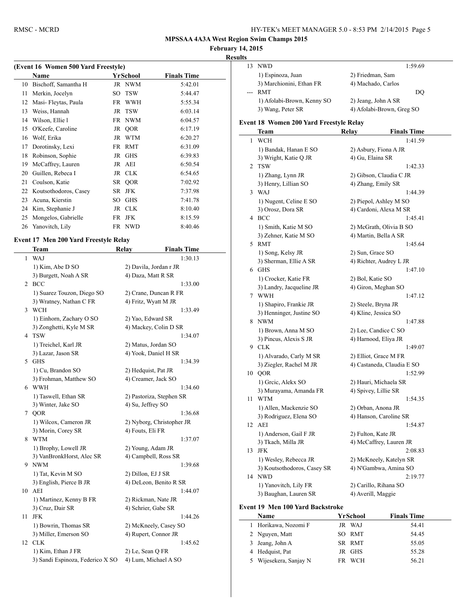**February 14, 2015**

| ۰.<br>۰<br>∼ |
|--------------|
|--------------|

| (Event 16 Women 500 Yard Freestyle) |                       |    |            |                    |  |
|-------------------------------------|-----------------------|----|------------|--------------------|--|
|                                     | Name                  |    | YrSchool   | <b>Finals Time</b> |  |
| 10                                  | Bischoff, Samantha H  |    | JR NWM     | 5:42.01            |  |
| 11                                  | Merkin, Jocelyn       | SO | <b>TSW</b> | 5:44.47            |  |
| 12                                  | Masi-Fleytas, Paula   | FR | WWH        | 5:55.34            |  |
| 13                                  | Weiss, Hannah         |    | JR TSW     | 6:03.14            |  |
| 14                                  | Wilson, Ellie l       |    | FR NWM     | 6:04.57            |  |
| 15                                  | O'Keefe, Caroline     |    | JR QOR     | 6:17.19            |  |
| 16                                  | Wolf, Erika           |    | JR WTM     | 6:20.27            |  |
| 17                                  | Dorotinsky, Lexi      |    | FR RMT     | 6:31.09            |  |
| 18                                  | Robinson, Sophie      |    | JR GHS     | 6:39.83            |  |
| 19                                  | McCaffrey, Lauren     |    | JR AEI     | 6:50.54            |  |
| 20                                  | Guillen, Rebeca I     |    | JR CLK     | 6:54.65            |  |
| 21                                  | Coulson, Katie        |    | SR QOR     | 7:02.92            |  |
| 22                                  | Koutsothodoros, Casey | SR | JFK        | 7:37.98            |  |
| 23                                  | Acuna, Kierstin       | SO | <b>GHS</b> | 7:41.78            |  |
| 24                                  | Kim, Stephanie J      | JR | <b>CLK</b> | 8:10.40            |  |
| 25                                  | Mongelos, Gabrielle   | FR | <b>JFK</b> | 8:15.59            |  |
| 26                                  | Yanovitch, Lily       |    | FR NWD     | 8:40.46            |  |

#### **Event 17 Men 200 Yard Freestyle Relay**

 $\overline{a}$ 

|              | Team                             | Relay              | <b>Finals Time</b>        |
|--------------|----------------------------------|--------------------|---------------------------|
| $\mathbf{1}$ | <b>WAJ</b>                       |                    | 1:30.13                   |
|              | 1) Kim, Abe D SO                 |                    | 2) Davila, Jordan r JR    |
|              | 3) Burgett, Noah A SR            |                    | 4) Daza, Matt R SR        |
| 2            | <b>BCC</b>                       |                    | 1:33.00                   |
|              | 1) Suarez Touzon, Diego SO       |                    | 2) Crane, Duncan R FR     |
|              | 3) Wratney, Nathan C FR          |                    | 4) Fritz, Wyatt M JR      |
| 3            | <b>WCH</b>                       |                    | 1:33.49                   |
|              | 1) Einhorn, Zachary O SO         |                    | 2) Yao, Edward SR         |
|              | 3) Zonghetti, Kyle M SR          |                    | 4) Mackey, Colin D SR     |
| 4            | <b>TSW</b>                       |                    | 1:34.07                   |
|              | 1) Treichel, Karl JR             |                    | 2) Matus, Jordan SO       |
|              | 3) Lazar, Jason SR               |                    | 4) Yook, Daniel H SR      |
| 5            | <b>GHS</b>                       |                    | 1:34.39                   |
|              | 1) Cu, Brandon SO                |                    | 2) Hedquist, Pat JR       |
|              | 3) Frohman, Matthew SO           |                    | 4) Creamer, Jack SO       |
| 6            | <b>WWH</b>                       |                    | 1:34.60                   |
|              | 1) Taswell, Ethan SR             |                    | 2) Pastoriza, Stephen SR  |
|              | 3) Winter, Jake SO               | 4) Su, Jeffrey SO  |                           |
| 7            | QOR                              |                    | 1:36.68                   |
|              | 1) Wilcox, Cameron JR            |                    | 2) Nyborg, Christopher JR |
|              | 3) Morin, Corey SR               | 4) Fouts, Eli FR   |                           |
| 8            | <b>WTM</b>                       |                    | 1:37.07                   |
|              | 1) Brophy, Lowell JR             |                    | 2) Young, Adam JR         |
|              | 3) VanBronkHorst, Alec SR        |                    | 4) Campbell, Ross SR      |
| 9            | <b>NWM</b>                       |                    | 1:39.68                   |
|              | 1) Tat, Kevin M SO               | 2) Dillon, EJ J SR |                           |
|              | 3) English, Pierce B JR          |                    | 4) DeLeon, Benito R SR    |
| 10           | AEI                              |                    | 1:44.07                   |
|              | 1) Martinez, Kenny B FR          |                    | 2) Rickman, Nate JR       |
|              | 3) Cruz, Dair SR                 |                    | 4) Schrier, Gabe SR       |
| 11           | <b>JFK</b>                       |                    | 1:44.26                   |
|              | 1) Bowrin, Thomas SR             |                    | 2) McKneely, Casey SO     |
|              | 3) Miller, Emerson SO            |                    | 4) Rupert, Connor JR      |
| 12           | <b>CLK</b>                       |                    | 1:45.62                   |
|              | 1) Kim, Ethan J FR               | 2) Le, Sean Q FR   |                           |
|              | 3) Sandi Espinoza, Federico X SO |                    | 4) Lum, Michael A SO      |

| NWD.                       | 1:59.69                   |
|----------------------------|---------------------------|
| 1) Espinoza, Juan          | 2) Friedman, Sam          |
| 3) Marchionini, Ethan FR   | 4) Machado, Carlos        |
| <b>RMT</b>                 | DO                        |
| 1) Afolabi-Brown, Kenny SO | 2) Jeang, John A SR       |
| 3) Wang, Peter SR          | 4) Afolabi-Brown, Greg SO |
|                            |                           |

#### **Event 18 Women 200 Yard Freestyle Relay**

|    | Team                        | Relay              | <b>Finals Time</b>         |
|----|-----------------------------|--------------------|----------------------------|
| 1  | <b>WCH</b>                  |                    | 1:41.59                    |
|    | 1) Bandak, Hanan E SO       |                    | 2) Asbury, Fiona A JR      |
|    | 3) Wright, Katie Q JR       | 4) Gu, Elaina SR   |                            |
| 2  | <b>TSW</b>                  |                    | 1:42.33                    |
|    | 1) Zhang, Lynn JR           |                    | 2) Gibson, Claudia C JR    |
|    | 3) Henry, Lillian SO        |                    | 4) Zhang, Emily SR         |
| 3  | WAJ                         |                    | 1:44.39                    |
|    | 1) Nugent, Celine E SO      |                    | 2) Piepol, Ashley M SO     |
|    | 3) Orosz, Dora SR           |                    | 4) Cardoni, Alexa M SR     |
| 4  | <b>BCC</b>                  |                    | 1:45.41                    |
|    | 1) Smith, Katie M SO        |                    | 2) McGrath, Olivia B SO    |
|    | 3) Zehner, Katie M SO       |                    | 4) Martin, Bella A SR      |
|    | 5 RMT                       |                    | 1:45.64                    |
|    | 1) Song, Kelsy JR           | 2) Sun, Grace SO   |                            |
|    | 3) Sherman, Ellie A SR      |                    | 4) Richter, Audrey L JR    |
|    | 6 GHS                       |                    | 1:47.10                    |
|    | 1) Crocker, Katie FR        | 2) Bol, Katie SO   |                            |
|    | 3) Landry, Jacqueline JR    |                    | 4) Giron, Meghan SO        |
|    | 7 WWH                       |                    | 1:47.12                    |
|    | 1) Shapiro, Frankie JR      |                    | 2) Steele, Bryna JR        |
|    | 3) Henninger, Justine SO    |                    | 4) Kline, Jessica SO       |
|    | 8 NWM                       |                    | 1:47.88                    |
|    | 1) Brown, Anna M SO         |                    | 2) Lee, Candice C SO       |
|    | 3) Pincus, Alexis S JR      |                    | 4) Harnood, Eliya JR       |
|    | 9 CLK                       |                    | 1:49.07                    |
|    | 1) Alvarado, Carly M SR     |                    | 2) Elliot, Grace M FR      |
|    | 3) Ziegler, Rachel M JR     |                    | 4) Castaneda, Claudia E SO |
|    | 10 QOR                      |                    | 1:52.99                    |
|    | 1) Greic, Alekx SO          |                    | 2) Hauri, Michaela SR      |
|    | 3) Murayama, Amanda FR      |                    | 4) Spivey, Lillie SR       |
| 11 | <b>WTM</b>                  |                    | 1:54.35                    |
|    | 1) Allen, Mackenzie SO      |                    | 2) Orban, Anona JR         |
|    | 3) Rodriguez, Elena SO      |                    | 4) Hanson, Caroline SR     |
| 12 | AEI                         |                    | 1:54.87                    |
|    | 1) Anderson, Gail F JR      | 2) Fulton, Kate JR |                            |
|    | 3) Tkach, Milla JR          |                    | 4) McCaffrey, Lauren JR    |
| 13 | <b>JFK</b>                  |                    | 2:08.83                    |
|    | 1) Wesley, Rebecca JR       |                    | 2) McKneely, Katelyn SR    |
|    | 3) Koutsothodoros, Casey SR |                    | 4) N'Gambwa, Amina SO      |
|    | 14 NWD                      |                    | 2:19.77                    |
|    | 1) Yanovitch, Lily FR       |                    | 2) Carillo, Rihana SO      |
|    | 3) Baughan, Lauren SR       | 4) Averill, Maggie |                            |
|    |                             |                    |                            |

## **Event 19 Men 100 Yard Backstroke**

|    | <b>Name</b>          | YrSchool | <b>Finals Time</b> |
|----|----------------------|----------|--------------------|
|    | Horikawa, Nozomi F   | JR WAJ   | 54.41              |
|    | 2 Nguyen, Matt       | SO RMT   | 54.45              |
|    | 3 Jeang, John A      | SR RMT   | 55.05              |
|    | 4 Hedquist, Pat      | JR GHS   | 55.28              |
| 5. | Wijesekera, Sanjay N | FR WCH   | 56.21              |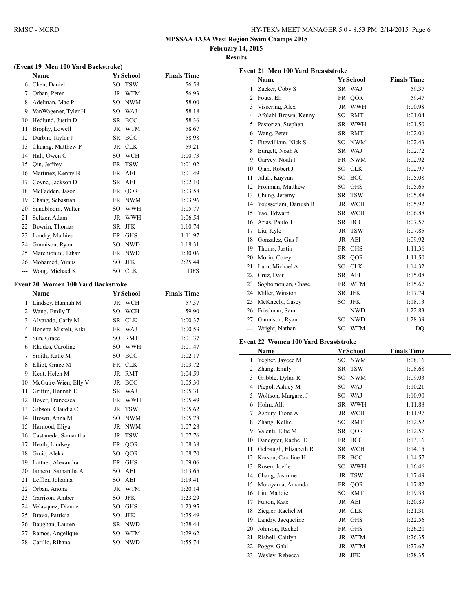$\overline{a}$ 

**February 14, 2015**

**Results**

| (Event 19 Men 100 Yard Backstroke) |                                           |    |                                    |                    |  |
|------------------------------------|-------------------------------------------|----|------------------------------------|--------------------|--|
|                                    | Name                                      |    | YrSchool                           | <b>Finals Time</b> |  |
|                                    | 6 Chen, Daniel                            |    | SO TSW                             | 56.58              |  |
|                                    | 7 Orban, Peter                            |    | JR WTM                             | 56.93              |  |
| 8                                  | Adelman, Mac P                            |    | SO NWM                             | 58.00              |  |
|                                    | 9 VanWagener, Tyler H                     |    | SO WAJ                             | 58.18              |  |
|                                    | 10 Hedlund, Justin D                      |    | SR BCC                             | 58.36              |  |
| 11                                 | Brophy, Lowell                            |    | JR WTM                             | 58.67              |  |
| 12                                 | Durbin, Taylor J                          |    | SR BCC                             | 58.98              |  |
| 13                                 | Chuang, Matthew P                         |    | JR CLK                             | 59.21              |  |
|                                    | 14 Hall, Owen C                           |    | SO WCH                             | 1:00.73            |  |
| 15                                 | Qin, Jeffrey                              |    | FR TSW                             | 1:01.02            |  |
| 16                                 | Martinez, Kenny B                         |    | FR AEI                             | 1:01.49            |  |
|                                    | 17 Coyne, Jackson D                       |    | SR AEI                             | 1:02.10            |  |
| 18                                 | McFadden, Jason                           |    | FR QOR                             | 1:03.58            |  |
|                                    | 19 Chang, Sebastian                       |    | FR NWM                             | 1:03.96            |  |
|                                    | 20 Sandbloom, Walter                      |    | SO WWH                             | 1:05.77            |  |
| 21                                 | Seltzer, Adam                             |    | JR WWH                             | 1:06.54            |  |
| 22                                 | Bowrin, Thomas                            |    | SR JFK                             | 1:10.74            |  |
| 23                                 | Landry, Mathieu                           |    | FR GHS                             | 1:11.97            |  |
|                                    | 24 Gunnison, Ryan                         |    | SO NWD                             | 1:18.31            |  |
| 25                                 | Marchionini, Ethan                        |    | FR NWD                             | 1:30.06            |  |
|                                    | 26 Mohamed, Yunus                         |    | SO JFK                             | 2:25.44            |  |
|                                    | --- Wong, Michael K                       |    | SO CLK                             | DFS                |  |
|                                    |                                           |    |                                    |                    |  |
|                                    | <b>Event 20 Women 100 Yard Backstroke</b> |    |                                    |                    |  |
|                                    | Name                                      |    | <b>YrSchool</b>                    | <b>Finals Time</b> |  |
| 1                                  | Lindsey, Hannah M                         |    | JR WCH                             | 57.37              |  |
| $\overline{2}$                     | Wang, Emily T                             |    | SO WCH                             | 59.90              |  |
| 3                                  | Alvarado, Carly M                         |    | SR CLK                             | 1:00.37            |  |
|                                    | 4 Bonetta-Misteli, Kiki                   |    | FR WAJ                             | 1:00.53            |  |
| 5                                  | Sun, Grace                                |    | SO RMT                             | 1:01.37            |  |
|                                    | 6 Rhodes, Caroline                        |    | SO WWH                             | 1:01.47            |  |
| 7                                  | Smith, Katie M                            |    | SO BCC                             | 1:02.17            |  |
| 8                                  | Elliot, Grace M                           |    | FR CLK                             | 1:03.72            |  |
| 9                                  | Kent, Helen M                             |    | JR RMT                             | 1:04.59            |  |
| 10                                 | McGuire-Wien, Elly V                      |    | JR BCC                             | 1:05.30            |  |
| 11                                 | Griffin, Hannah E                         |    | SR WAJ                             | 1:05.31            |  |
| 12                                 | Boyer, Francesca                          |    | FR WWH                             | 1:05.49            |  |
| 13                                 | Gibson, Claudia C                         | JR | TSW                                | 1:05.62            |  |
| 14                                 | Brown, Anna M                             | SO | NWM                                | 1:05.78            |  |
| 15                                 | Harnood, Eliya                            | JR | <b>NWM</b><br>$\operatorname{TSW}$ | 1:07.28            |  |
| 16                                 | Castaneda, Samantha                       | JR |                                    | 1:07.76            |  |
| 17                                 | Heath, Lindsey                            |    | FR QOR                             | 1:08.38            |  |
| 18                                 | Greic, Alekx                              |    | SO QOR                             | 1:08.70            |  |
| 19<br>20                           | Lattner, Alexandra<br>Jamero, Samantha A  | FR | GHS<br>SO AEI                      | 1:09.06            |  |
|                                    |                                           |    |                                    | 1:13.65<br>1:19.41 |  |
| 21<br>22                           | Leffler, Johanna<br>Orban, Anona          | SO | AEI                                |                    |  |
| 23                                 | Garrison, Amber                           | SO | JR WTM<br><b>JFK</b>               | 1:20.14<br>1:23.29 |  |
|                                    |                                           |    |                                    |                    |  |
| 24<br>25                           | Velasquez, Dianne<br>Bravo, Patricia      |    | SO GHS                             | 1:23.95            |  |
| 26                                 |                                           | SO | JFK<br>SR NWD                      | 1:25.49            |  |
| 27                                 | Baughan, Lauren<br>Ramos, Angelique       |    | SO WTM                             | 1:28.44<br>1:29.62 |  |
| 28                                 | Carillo, Rihana                           | SO | <b>NWD</b>                         | 1:55.74            |  |
|                                    |                                           |    |                                    |                    |  |

| Event 21 Men 100 Yard Breaststroke |                                      |                 |            |                    |  |  |  |
|------------------------------------|--------------------------------------|-----------------|------------|--------------------|--|--|--|
|                                    | Name                                 |                 | YrSchool   | <b>Finals Time</b> |  |  |  |
| $\mathbf{1}$                       | Zucker, Coby S                       |                 | SR WAJ     | 59.37              |  |  |  |
| 2                                  | Fouts, Eli                           | FR              | QOR        | 59.47              |  |  |  |
| 3                                  | Vissering, Alex                      | JR              | <b>WWH</b> | 1:00.98            |  |  |  |
| $\overline{4}$                     | Afolabi-Brown, Kenny                 | SO <sub>1</sub> | <b>RMT</b> | 1:01.04            |  |  |  |
| 5                                  | Pastoriza, Stephen                   | SR              | WWH        | 1:01.50            |  |  |  |
| 6                                  | Wang, Peter                          |                 | SR RMT     | 1:02.06            |  |  |  |
| 7                                  | Fitzwilliam, Nick S                  | SO.             | <b>NWM</b> | 1:02.43            |  |  |  |
| 8                                  | Burgett, Noah A                      | SR              | WAJ        | 1:02.72            |  |  |  |
| 9                                  | Garvey, Noah J                       | FR              | <b>NWM</b> | 1:02.92            |  |  |  |
| 10                                 | Oian, Robert J                       |                 | SO CLK     | 1:02.97            |  |  |  |
| 11                                 | Jalali, Kayvan                       |                 | SO BCC     | 1:05.08            |  |  |  |
| 12                                 | Frohman, Matthew                     | SO.             | <b>GHS</b> | 1:05.65            |  |  |  |
| 13                                 | Chung, Jeremy                        | SR              | <b>TSW</b> | 1:05.88            |  |  |  |
| 14                                 | Youssefiani, Dariush R               | JR              | <b>WCH</b> | 1:05.92            |  |  |  |
| 15                                 | Yao, Edward                          | SR.             | <b>WCH</b> | 1:06.88            |  |  |  |
| 16                                 | Arias, Paulo T                       |                 | SR BCC     | 1:07.57            |  |  |  |
| 17                                 | Liu, Kyle                            | JR              | <b>TSW</b> | 1:07.85            |  |  |  |
| 18                                 | Gonzalez, Gus J                      | JR              | AEI        | 1:09.92            |  |  |  |
| 19                                 | Thoms, Justin                        | FR              | <b>GHS</b> | 1:11.36            |  |  |  |
| 20                                 | Morin, Corey                         | SR              | QOR        | 1:11.50            |  |  |  |
| 21                                 | Lum, Michael A                       | SO              | <b>CLK</b> | 1:14.32            |  |  |  |
| 22                                 | Cruz, Dair                           | SR              | AEI        | 1:15.08            |  |  |  |
| 23                                 | Soghomonian, Chase                   |                 | FR WTM     | 1:15.67            |  |  |  |
| 24                                 | Miller, Winston                      | SR              | <b>JFK</b> | 1:17.74            |  |  |  |
| 25                                 | McKneely, Casey                      | SO              | <b>JFK</b> | 1:18.13            |  |  |  |
| 26                                 | Friedman, Sam                        |                 | <b>NWD</b> | 1:22.83            |  |  |  |
| 27                                 | Gunnison, Ryan                       | SO.             | <b>NWD</b> | 1:28.39            |  |  |  |
| ---                                | Wright, Nathan                       |                 | SO WTM     | DQ                 |  |  |  |
|                                    |                                      |                 |            |                    |  |  |  |
|                                    | Event 22 Women 100 Yard Breaststroke |                 |            |                    |  |  |  |

## **Name YrSchool Finals Time** 1 Yegher, Jaycee M SO NWM 1:08.16 Zhang, Emily SR TSW 1:08.68 3 Gribble, Dylan R SO NWM 1:09.03 4 Piepol, Ashley M SO WAJ 1:10.21 5 Wolfson, Margaret J SO WAJ 1:10.90 Holm, Alli SR WWH 1:11.88 7 Asbury, Fiona A JR WCH 1:11.97 8 Zhang, Kellie SO RMT 1:12.52 9 Valenti, Ellie M SR QOR 1:12.57 10 Danegger, Rachel E FR BCC 1:13.16 11 Gelbaugh, Elizabeth R SR WCH 1:14.15 12 Karson, Caroline H FR BCC 1:14.57 13 Rosen, Joelle SO WWH 1:16.46 Chang, Jasmine JR TSW 1:17.49 Murayama, Amanda FR QOR 1:17.82 Liu, Maddie SO RMT 1:19.33 Fulton, Kate JR AEI 1:20.89 18 Ziegler, Rachel M JR CLK 1:21.31 19 Landry, Jacqueline JR GHS 1:22.56 Johnson, Rachel FR GHS 1:26.20 Rishell, Caitlyn JR WTM 1:26.35 Poggy, Gabi JR WTM 1:27.67 23 Wesley, Rebecca JR JFK 1:28.35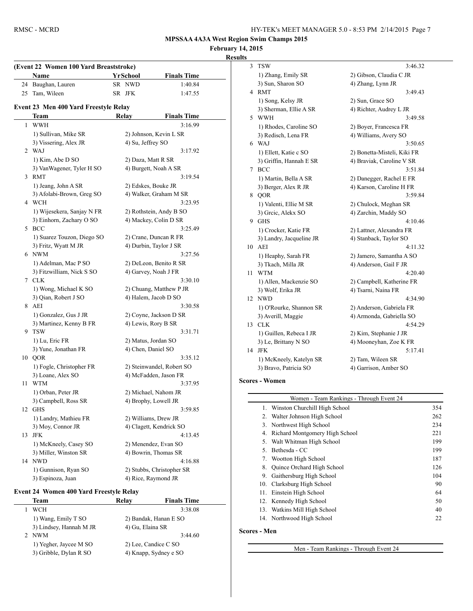**February 14, 2015 Results**

|    | Name                                           | YrSchool            | <b>Finals Time</b>                           |
|----|------------------------------------------------|---------------------|----------------------------------------------|
| 24 | Baughan, Lauren                                | SR NWD              | 1:40.84                                      |
| 25 | Tam, Wileen                                    | SR JFK              | 1:47.55                                      |
|    | Event 23 Men 400 Yard Freestyle Relay          |                     |                                              |
|    | Team                                           | Relay               | <b>Finals Time</b>                           |
| 1  | <b>WWH</b>                                     |                     | 3:16.99                                      |
|    | 1) Sullivan, Mike SR                           |                     | 2) Johnson, Kevin L SR                       |
|    | 3) Vissering, Alex JR                          | 4) Su, Jeffrey SO   |                                              |
|    | 2 WAJ                                          |                     | 3:17.92                                      |
|    | 1) Kim, Abe D SO                               | 2) Daza, Matt R SR  |                                              |
|    | 3) VanWagener, Tyler H SO                      |                     | 4) Burgett, Noah A SR                        |
|    | 3 RMT                                          |                     | 3:19.54                                      |
|    | 1) Jeang, John A SR                            | 2) Edskes, Bouke JR |                                              |
|    | 3) Afolabi-Brown, Greg SO                      |                     | 4) Walker, Graham M SR                       |
|    | 4 WCH                                          |                     | 3:23.95                                      |
|    | 1) Wijesekera, Sanjay N FR                     |                     | 2) Rothstein, Andy B SO                      |
|    | 3) Einhorn, Zachary O SO                       |                     | 4) Mackey, Colin D SR                        |
|    | 5 BCC                                          |                     | 3:25.49                                      |
|    | 1) Suarez Touzon, Diego SO                     |                     | 2) Crane, Duncan R FR                        |
|    | 3) Fritz, Wyatt M JR                           |                     | 4) Durbin, Taylor J SR                       |
|    | 6 NWM                                          |                     | 3:27.56                                      |
|    | 1) Adelman, Mac P SO                           |                     | 2) DeLeon, Benito R SR                       |
|    | 3) Fitzwilliam, Nick S SO                      |                     | 4) Garvey, Noah J FR                         |
|    | 7 CLK                                          |                     | 3:30.10                                      |
|    | 1) Wong, Michael K SO                          |                     | 2) Chuang, Matthew P JR                      |
|    | 3) Qian, Robert J SO                           |                     | 4) Halem, Jacob D SO                         |
|    | 8 AEI                                          |                     | 3:30.58                                      |
|    | 1) Gonzalez, Gus J JR                          |                     | 2) Coyne, Jackson D SR                       |
|    | 3) Martinez, Kenny B FR                        | 4) Lewis, Rory B SR |                                              |
| 9. | <b>TSW</b>                                     |                     | 3:31.71                                      |
|    | 1) Lu, Eric FR                                 | 2) Matus, Jordan SO |                                              |
|    | 3) Yune, Jonathan FR                           | 4) Chen, Daniel SO  |                                              |
| 10 | QOR                                            |                     | 3:35.12                                      |
|    | 1) Fogle, Christopher FR                       |                     | 2) Steinwandel, Robert SO                    |
|    | 3) Loane, Alex SO                              |                     | 4) McFadden, Jason FR                        |
| 11 | <b>WTM</b>                                     |                     | 3:37.95                                      |
|    | 1) Orban, Peter JR                             |                     | 2) Michael, Nahom JR                         |
|    | 3) Campbell, Ross SR                           |                     | 4) Brophy, Lowell JR                         |
|    | 12 GHS                                         |                     | 3:59.85                                      |
|    | 1) Landry, Mathieu FR                          |                     | 2) Williams, Drew JR                         |
|    | 3) Moy, Connor JR<br><b>JFK</b>                |                     | 4) Clagett, Kendrick SO                      |
| 13 |                                                |                     | 4:13.45                                      |
|    | 1) McKneely, Casey SO<br>3) Miller, Winston SR |                     | 2) Menendez, Evan SO<br>4) Bowrin, Thomas SR |
|    | 14 NWD                                         |                     | 4:16.88                                      |
|    | 1) Gunnison, Ryan SO                           |                     | 2) Stubbs, Christopher SR                    |
|    | 3) Espinoza, Juan                              |                     | 4) Rice, Raymond JR                          |
|    |                                                |                     |                                              |

#### **Event 24 Women 400 Yard Freestyle Relay**

| Team                    | Relay | <b>Finals Time</b>    |
|-------------------------|-------|-----------------------|
| <b>WCH</b>              |       | 3:38.08               |
| 1) Wang, Emily T SO     |       | 2) Bandak, Hanan E SO |
| 3) Lindsey, Hannah M JR |       | 4) Gu, Elaina SR      |
| NWM                     |       | 3:44.60               |
| 1) Yegher, Jaycee M SO  |       | 2) Lee, Candice C SO  |
| 3) Gribble, Dylan R SO  |       | 4) Knapp, Sydney e SO |
|                         |       |                       |

| 3  | <b>TSW</b>               | 3:46.32                     |
|----|--------------------------|-----------------------------|
|    | 1) Zhang, Emily SR       | 2) Gibson, Claudia C JR     |
|    | 3) Sun, Sharon SO        | 4) Zhang, Lynn JR           |
| 4  | <b>RMT</b>               | 3:49.43                     |
|    | 1) Song, Kelsy JR        | 2) Sun, Grace SO            |
|    | 3) Sherman, Ellie A SR   | 4) Richter, Audrey L JR     |
| 5  | <b>WWH</b>               | 3:49.58                     |
|    | 1) Rhodes, Caroline SO   | 2) Boyer, Francesca FR      |
|    | 3) Redisch, Lena FR      | 4) Williams, Avery SO       |
| 6  | <b>WAJ</b>               | 3:50.65                     |
|    | 1) Ellett, Katie c SO    | 2) Bonetta-Misteli, Kiki FR |
|    | 3) Griffin, Hannah E SR  | 4) Braviak, Caroline V SR   |
| 7  | <b>BCC</b>               | 3:51.84                     |
|    | 1) Martin, Bella A SR    | 2) Danegger, Rachel E FR    |
|    | 3) Berger, Alex R JR     | 4) Karson, Caroline H FR    |
| 8  | QOR                      | 3:59.84                     |
|    | 1) Valenti, Ellie M SR   | 2) Chulock, Meghan SR       |
|    | 3) Greic, Alekx SO       | 4) Zarchin, Maddy SO        |
| 9  | <b>GHS</b>               | 4:10.46                     |
|    | 1) Crocker, Katie FR     | 2) Lattner, Alexandra FR    |
|    | 3) Landry, Jacqueline JR | 4) Stanback, Taylor SO      |
| 10 | AEI                      | 4:11.32                     |
|    | 1) Heaphy, Sarah FR      | 2) Jamero, Samantha A SO    |
|    | 3) Tkach, Milla JR       | 4) Anderson, Gail F JR      |
| 11 | <b>WTM</b>               | 4:20.40                     |
|    | 1) Allen, Mackenzie SO   | 2) Campbell, Katherine FR   |
|    | 3) Wolf, Erika JR        | 4) Tsarni, Naina FR         |
| 12 | <b>NWD</b>               | 4:34.90                     |
|    | 1) O'Rourke, Shannon SR  | 2) Anderson, Gabriela FR    |
|    | 3) Averill, Maggie       | 4) Armonda, Gabriella SO    |
| 13 | <b>CLK</b>               | 4:54.29                     |
|    | 1) Guillen, Rebeca I JR  | 2) Kim, Stephanie J JR      |
|    | 3) Le, Brittany N SO     | 4) Mooneyhan, Zoe K FR      |
| 14 | <b>JFK</b>               | 5:17.41                     |
|    | 1) McKneely, Katelyn SR  | 2) Tam, Wileen SR           |
|    | 3) Bravo, Patricia SO    | 4) Garrison, Amber SO       |
|    |                          |                             |

#### **Scores - Women**

 $\overline{\phantom{0}}$ 

|     | Women - Team Rankings - Through Event 24 |     |
|-----|------------------------------------------|-----|
|     | 1. Winston Churchill High School         | 354 |
| 2.  | Walter Johnson High School               | 262 |
| 3.  | Northwest High School                    | 234 |
| 4.  | Richard Montgomery High School           | 221 |
| 5.  | Walt Whitman High School                 | 199 |
| 5.  | Bethesda - CC                            | 199 |
| 7.  | Wootton High School                      | 187 |
| 8.  | Quince Orchard High School               | 126 |
| 9.  | Gaithersburg High School                 | 104 |
| 10. | Clarksburg High School                   | 90  |
| 11. | Einstein High School                     | 64  |
| 12. | Kennedy High School                      | 50  |
| 13. | Watkins Mill High School                 | 40  |
|     | 14. Northwood High School                | 22  |
|     |                                          |     |

#### **Scores - Men**

Men - Team Rankings - Through Event 24